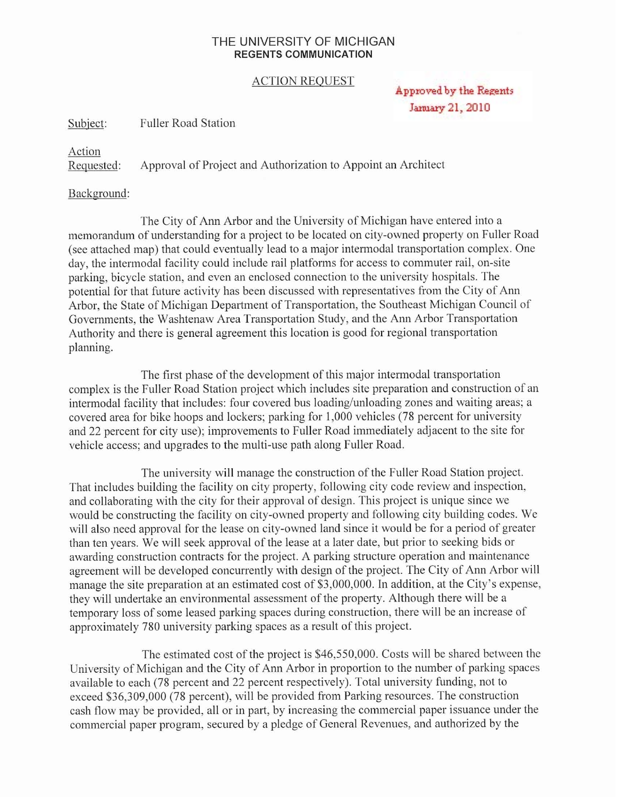## THE UNIVERSITY OF MICHIGAN **REGENTS COMMUNICATION**

## ACTION REQUEST

Approved by the Regents January 21, 2010

Subject: Fuller Road Station

## Action<br>Requested:

Approval of Project and Authorization to Appoint an Architect

## Background:

The City of Ann Arbor and the University of Michigan have entered into a memorandum of understanding for a project to be located on city-owned property on Fuller Road (see attached map) that could eventually lead to a major intermodal transportation complex. One day, the intermodal facility could include rail platforms for access to commuter rail, on-site parking, bicycle station, and even an enclosed connection to the university hospitals. The potential for that future activity has been discussed with representatives from the City of Ann Arbor, the State of Michigan Department of Transportation, the Southeast Michigan Council of Governments, the Washtenaw Area Transportation Study, and the Ann Arbor Transportation Authority and there is general agreement this location is good for regional transportation planning.

The first phase of the development of this major intermodal transportation complex is the Fuller Road Station project which includes site preparation and construction of an intermodal facility that includes: four covered bus loading/unloading zones and waiting areas; a covered area for bike hoops and lockers; parking for 1,000 vehicles (78 percent for university and 22 percent for city use); improvements to Fuller Road immediately adjacent to the site for vehicle access; and upgrades to the multi-use path along Fuller Road.

The university will manage the construction of the Fuller Road Station project. That includes building the facility on city property, following city code review and inspection, and collaborating with the city for their approval of design. This project is unique since we would be constructing the facility on city-owned property and following city building codes. We will also need approval for the lease on city-owned land since it would be for a period of greater than ten years. We will seek approval of the lease at a later date, but prior to seeking bids or awarding construction contracts for the project. A parking structure operation and maintenance agreement will be developed concurrently with design of the project. The City of Ann Arbor will manage the site preparation at an estimated cost of \$3,000,000. In addition, at the City's expense, they will undertake an environmental assessment of the property. Although there will be a temporary loss of some leased parking spaces during construction, there will be an increase of approximately 780 university parking spaces as a result of this project.

The estimated cost of the project is \$46,550,000. Costs will be shared between the University of Michigan and the City of Ann Arbor in proportion to the number of parking spaces available to each (78 percent and 22 percent respectively). Total university funding, not to exceed \$36,309,000 (78 percent), will be provided from Parking resources. The construction cash flow may be provided, all or in part, by increasing the commercial paper issuance under the commercial paper program, secured by a pledge of General Revenues, and authorized by the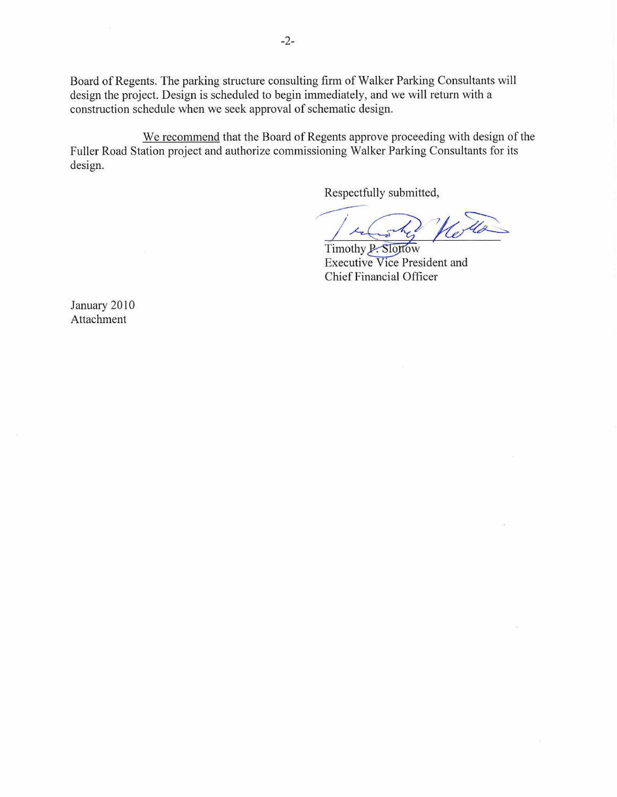Board of Regents. The parking structure consulting firm of Walker Parking Consultants will design the project. Design is scheduled to begin immediately, and we will return with a construction schedule when we seek approval of schematic design.

We recommend that the Board of Regents approve proceeding with design of the Fuller Road Station project and authorize commissioning Walker Parking Consultants for its design.

Respectfully submitted,

Timothy P. Slottow Executive Vice President and Chief Financial Officer

January 2010 Attachment